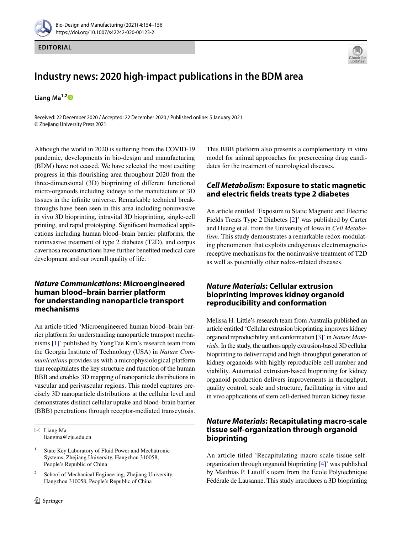



# **Industry news: 2020 high‑impact publications in the BDM area**

**Liang Ma1,[2](http://orcid.org/0000-0002-6242-1850)**

Received: 22 December 2020 / Accepted: 22 December 2020 / Published online: 5 January 2021 © Zhejiang University Press 2021

Although the world in 2020 is sufering from the COVID-19 pandemic, developments in bio-design and manufacturing (BDM) have not ceased. We have selected the most exciting progress in this fourishing area throughout 2020 from the three-dimensional (3D) bioprinting of diferent functional micro-organoids including kidneys to the manufacture of 3D tissues in the infnite universe. Remarkable technical breakthroughs have been seen in this area including noninvasive in vivo 3D bioprinting, intravital 3D bioprinting, single-cell printing, and rapid prototyping. Signifcant biomedical applications including human blood–brain barrier platforms, the noninvasive treatment of type 2 diabetes (T2D), and corpus cavernosa reconstructions have further benefted medical care development and our overall quality of life.

## *Nature Communications***: Microengineered human blood–brain barrier platform for understanding nanoparticle transport mechanisms**

An article titled 'Microengineered human blood–brain barrier platform for understanding nanoparticle transport mechanisms [\[1](#page-2-0)]' published by YongTae Kim's research team from the Georgia Institute of Technology (USA) in *Nature Communications* provides us with a microphysiological platform that recapitulates the key structure and function of the human BBB and enables 3D mapping of nanoparticle distributions in vascular and perivascular regions. This model captures precisely 3D nanoparticle distributions at the cellular level and demonstrates distinct cellular uptake and blood–brain barrier (BBB) penetrations through receptor-mediated transcytosis.

 $\boxtimes$  Liang Ma liangma@zju.edu.cn

This BBB platform also presents a complementary in vitro model for animal approaches for prescreening drug candidates for the treatment of neurological diseases.

# *Cell Metabolism***: Exposure to static magnetic and electric felds treats type 2 diabetes**

An article entitled 'Exposure to Static Magnetic and Electric Fields Treats Type 2 Diabetes [\[2](#page-2-1)]' was published by Carter and Huang et al. from the University of Iowa in *Cell Metabolism*. This study demonstrates a remarkable redox-modulating phenomenon that exploits endogenous electromagneticreceptive mechanisms for the noninvasive treatment of T2D as well as potentially other redox-related diseases.

## *Nature Materials***: Cellular extrusion bioprinting improves kidney organoid reproducibility and conformation**

Melissa H. Little's research team from Australia published an article entitled 'Cellular extrusion bioprinting improves kidney organoid reproducibility and conformation [\[3\]](#page-2-2)' in *Nature Materials*. In the study, the authors apply extrusion-based 3D cellular bioprinting to deliver rapid and high-throughput generation of kidney organoids with highly reproducible cell number and viability. Automated extrusion-based bioprinting for kidney organoid production delivers improvements in throughput, quality control, scale and structure, facilitating in vitro and in vivo applications of stem cell-derived human kidney tissue.

# *Nature Materials***: Recapitulating macro‑scale tissue self‑organization through organoid bioprinting**

An article titled 'Recapitulating macro-scale tissue selforganization through organoid bioprinting [\[4](#page-2-3)]' was published by Matthias P. Lutolf's team from the Ecole Polytechnique Fédérale de Lausanne. This study introduces a 3D bioprinting

<sup>&</sup>lt;sup>1</sup> State Key Laboratory of Fluid Power and Mechatronic Systems, Zhejiang University, Hangzhou 310058, People's Republic of China

School of Mechanical Engineering, Zhejiang University, Hangzhou 310058, People's Republic of China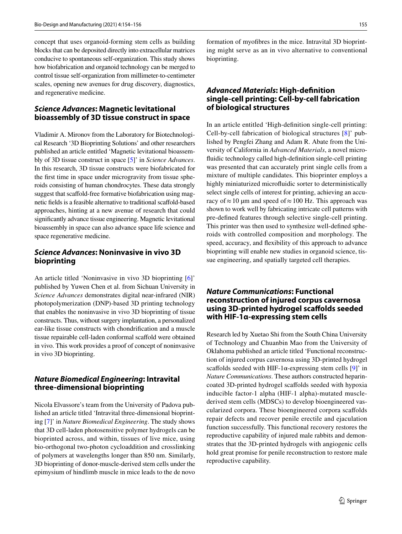concept that uses organoid-forming stem cells as building blocks that can be deposited directly into extracellular matrices conducive to spontaneous self-organization. This study shows how biofabrication and organoid technology can be merged to control tissue self-organization from millimeter-to-centimeter scales, opening new avenues for drug discovery, diagnostics, and regenerative medicine.

## *Science Advances***: Magnetic levitational bioassembly of 3D tissue construct in space**

Vladimir A. Mironov from the Laboratory for Biotechnological Research '3D Bioprinting Solutions' and other researchers published an article entitled 'Magnetic levitational bioassembly of 3D tissue construct in space [[5](#page-2-4)]' in *Science Advances*. In this research, 3D tissue constructs were biofabricated for the frst time in space under microgravity from tissue spheroids consisting of human chondrocytes. These data strongly suggest that scaffold-free formative biofabrication using magnetic felds is a feasible alternative to traditional scafold-based approaches, hinting at a new avenue of research that could signifcantly advance tissue engineering. Magnetic levitational bioassembly in space can also advance space life science and space regenerative medicine.

#### *Science Advances***: Noninvasive in vivo 3D bioprinting**

An article titled 'Noninvasive in vivo 3D bioprinting [\[6](#page-2-5)]' published by Yuwen Chen et al. from Sichuan University in *Science Advances* demonstrates digital near-infrared (NIR) photopolymerization (DNP)-based 3D printing technology that enables the noninvasive in vivo 3D bioprinting of tissue constructs. Thus, without surgery implantation, a personalized ear-like tissue constructs with chondrifcation and a muscle tissue repairable cell-laden conformal scafold were obtained in vivo. This work provides a proof of concept of noninvasive in vivo 3D bioprinting.

## *Nature Biomedical Engineering***: Intravital three‑dimensional bioprinting**

Nicola Elvassore's team from the University of Padova published an article titled 'Intravital three-dimensional bioprinting [\[7](#page-2-6)]' in *Nature Biomedical Engineering*. The study shows that 3D cell-laden photosensitive polymer hydrogels can be bioprinted across, and within, tissues of live mice, using bio-orthogonal two-photon cycloaddition and crosslinking of polymers at wavelengths longer than 850 nm. Similarly, 3D bioprinting of donor-muscle-derived stem cells under the epimysium of hindlimb muscle in mice leads to the de novo formation of myofbres in the mice. Intravital 3D bioprinting might serve as an in vivo alternative to conventional bioprinting.

## *Advanced Materials***: High‑defnition single‑cell printing: Cell‑by‑cell fabrication of biological structures**

In an article entitled 'High-defnition single-cell printing: Cell-by-cell fabrication of biological structures [\[8](#page-2-7)]' published by Pengfei Zhang and Adam R. Abate from the University of California in *Advanced Materials*, a novel microfuidic technology called high-defnition single-cell printing was presented that can accurately print single cells from a mixture of multiple candidates. This bioprinter employs a highly miniaturized microfuidic sorter to deterministically select single cells of interest for printing, achieving an accuracy of  $\approx$  10 µm and speed of  $\approx$  100 Hz. This approach was shown to work well by fabricating intricate cell patterns with pre-defned features through selective single-cell printing. This printer was then used to synthesize well-defned spheroids with controlled composition and morphology. The speed, accuracy, and fexibility of this approach to advance bioprinting will enable new studies in organoid science, tissue engineering, and spatially targeted cell therapies.

## *Nature Communications***: Functional reconstruction of injured corpus cavernosa using 3D‑printed hydrogel scafolds seeded with HIF‑1α‑expressing stem cells**

Research led by Xuetao Shi from the South China University of Technology and Chuanbin Mao from the University of Oklahoma published an article titled 'Functional reconstruction of injured corpus cavernosa using 3D-printed hydrogel scaffolds seeded with HIF-1 $\alpha$ -expressing stem cells [[9\]](#page-2-8)' in *Nature Communications*. These authors constructed heparincoated 3D-printed hydrogel scafolds seeded with hypoxia inducible factor-1 alpha (HIF-1 alpha)-mutated musclederived stem cells (MDSCs) to develop bioengineered vascularized corpora. These bioengineered corpora scafolds repair defects and recover penile erectile and ejaculation function successfully. This functional recovery restores the reproductive capability of injured male rabbits and demonstrates that the 3D-printed hydrogels with angiogenic cells hold great promise for penile reconstruction to restore male reproductive capability.